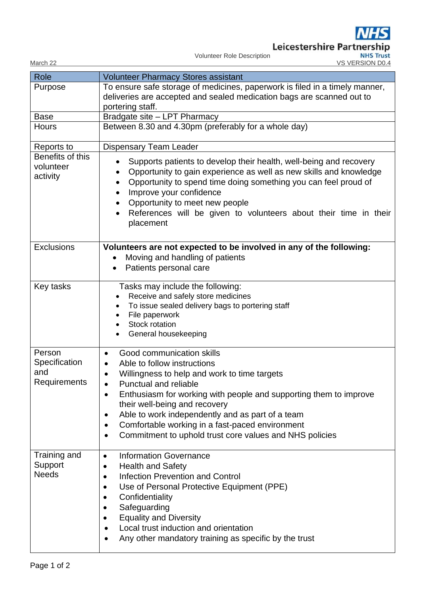Leicestershire Partnership<br>Volunteer Role Description<br>VS VERSION D0.4

Volunteer Role Description

| Role                                           | <b>Volunteer Pharmacy Stores assistant</b>                                                                                                                                                                                                                                                                                                                                                                                              |
|------------------------------------------------|-----------------------------------------------------------------------------------------------------------------------------------------------------------------------------------------------------------------------------------------------------------------------------------------------------------------------------------------------------------------------------------------------------------------------------------------|
| Purpose                                        | To ensure safe storage of medicines, paperwork is filed in a timely manner,<br>deliveries are accepted and sealed medication bags are scanned out to                                                                                                                                                                                                                                                                                    |
|                                                | portering staff.                                                                                                                                                                                                                                                                                                                                                                                                                        |
| <b>Base</b>                                    | Bradgate site - LPT Pharmacy                                                                                                                                                                                                                                                                                                                                                                                                            |
| <b>Hours</b>                                   | Between 8.30 and 4.30pm (preferably for a whole day)                                                                                                                                                                                                                                                                                                                                                                                    |
| Reports to                                     | <b>Dispensary Team Leader</b>                                                                                                                                                                                                                                                                                                                                                                                                           |
| Benefits of this<br>volunteer<br>activity      | Supports patients to develop their health, well-being and recovery<br>Opportunity to gain experience as well as new skills and knowledge<br>Opportunity to spend time doing something you can feel proud of<br>Improve your confidence<br>Opportunity to meet new people<br>$\bullet$<br>References will be given to volunteers about their time in their<br>placement                                                                  |
| <b>Exclusions</b>                              | Volunteers are not expected to be involved in any of the following:<br>Moving and handling of patients<br>Patients personal care                                                                                                                                                                                                                                                                                                        |
| Key tasks                                      | Tasks may include the following:<br>Receive and safely store medicines<br>To issue sealed delivery bags to portering staff<br>File paperwork<br>Stock rotation<br>General housekeeping                                                                                                                                                                                                                                                  |
| Person<br>Specification<br>and<br>Requirements | Good communication skills<br>Able to follow instructions<br>Willingness to help and work to time targets<br><b>Punctual and reliable</b><br>Enthusiasm for working with people and supporting them to improve<br>٠<br>their well-being and recovery<br>Able to work independently and as part of a team<br>٠<br>Comfortable working in a fast-paced environment<br>$\bullet$<br>Commitment to uphold trust core values and NHS policies |
| Training and<br>Support<br><b>Needs</b>        | <b>Information Governance</b><br>$\bullet$<br><b>Health and Safety</b><br><b>Infection Prevention and Control</b><br>Use of Personal Protective Equipment (PPE)<br>Confidentiality<br>Safeguarding<br><b>Equality and Diversity</b><br>Local trust induction and orientation<br>Any other mandatory training as specific by the trust                                                                                                   |